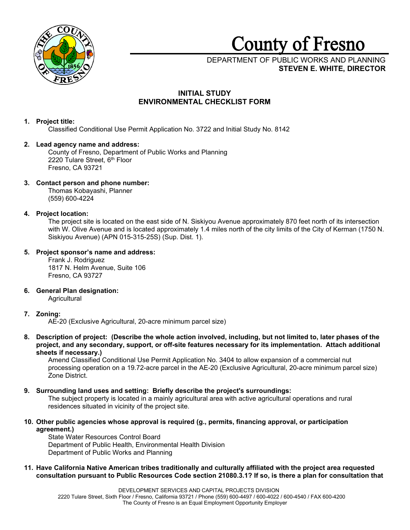

# **County** of **Fresno**

# DEPARTMENT OF PUBLIC WORKS AND PLANNING **STEVEN E. WHITE, DIRECTOR**

# **INITIAL STUDY ENVIRONMENTAL CHECKLIST FORM**

# **1. Project title:**

Classified Conditional Use Permit Application No. 3722 and Initial Study No. 8142

## **2. Lead agency name and address:**

County of Fresno, Department of Public Works and Planning 2220 Tulare Street, 6th Floor Fresno, CA 93721

# **3. Contact person and phone number:**

Thomas Kobayashi, Planner (559) 600-4224

# **4. Project location:**

The project site is located on the east side of N. Siskiyou Avenue approximately 870 feet north of its intersection with W. Olive Avenue and is located approximately 1.4 miles north of the city limits of the City of Kerman (1750 N. Siskiyou Avenue) (APN 015-315-25S) (Sup. Dist. 1).

# **5. Project sponsor's name and address:**

Frank J. Rodriguez 1817 N. Helm Avenue, Suite 106 Fresno, CA 93727

**6. General Plan designation:**

**Agricultural** 

# **7. Zoning:**

AE-20 (Exclusive Agricultural, 20-acre minimum parcel size)

**8. Description of project: (Describe the whole action involved, including, but not limited to, later phases of the project, and any secondary, support, or off-site features necessary for its implementation. Attach additional sheets if necessary.)**

Amend Classified Conditional Use Permit Application No. 3404 to allow expansion of a commercial nut processing operation on a 19.72-acre parcel in the AE-20 (Exclusive Agricultural, 20-acre minimum parcel size) Zone District.

## **9. Surrounding land uses and setting: Briefly describe the project's surroundings:**

The subject property is located in a mainly agricultural area with active agricultural operations and rural residences situated in vicinity of the project site.

**10. Other public agencies whose approval is required (g., permits, financing approval, or participation agreement.)**

State Water Resources Control Board Department of Public Health, Environmental Health Division Department of Public Works and Planning

**11. Have California Native American tribes traditionally and culturally affiliated with the project area requested consultation pursuant to Public Resources Code section 21080.3.1? If so, is there a plan for consultation that**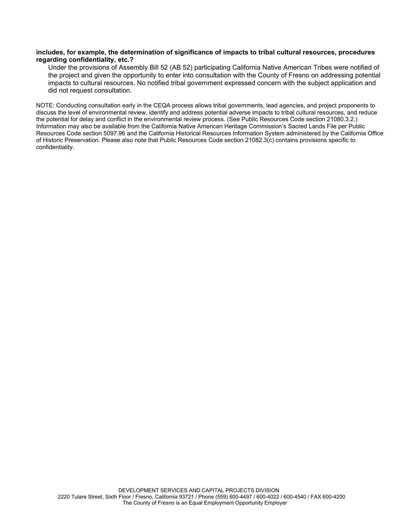## **includes, for example, the determination of significance of impacts to tribal cultural resources, procedures regarding confidentiality, etc.?**

Under the provisions of Assembly Bill 52 (AB 52) participating California Native American Tribes were notified of the project and given the opportunity to enter into consultation with the County of Fresno on addressing potential impacts to cultural resources. No notified tribal government expressed concern with the subject application and did not request consultation.

NOTE: Conducting consultation early in the CEQA process allows tribal governments, lead agencies, and project proponents to discuss the level of environmental review, identify and address potential adverse impacts to tribal cultural resources, and reduce the potential for delay and conflict in the environmental review process. (See Public Resources Code section 21080.3.2.) Information may also be available from the California Native American Heritage Commission's Sacred Lands File per Public Resources Code section 5097.96 and the California Historical Resources Information System administered by the California Office of Historic Preservation. Please also note that Public Resources Code section 21082.3(c) contains provisions specific to confidentiality.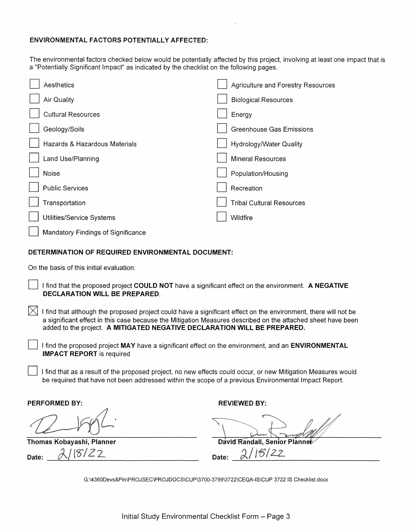## **ENVIRONMENTAL FACTORS POTENTIALLY AFFECTED:**

The environmental factors checked below would be potentially affected by this project, involving at least one impact that is a "Potentially Significant Impact" as indicated by the checklist on the following pages.

| Aesthetics                         | Agriculture and Forestry Resources |
|------------------------------------|------------------------------------|
| Air Quality                        | <b>Biological Resources</b>        |
| <b>Cultural Resources</b>          | Energy                             |
| Geology/Soils                      | <b>Greenhouse Gas Emissions</b>    |
| Hazards & Hazardous Materials      | Hydrology/Water Quality            |
| Land Use/Planning                  | <b>Mineral Resources</b>           |
| Noise                              | Population/Housing                 |
| <b>Public Services</b>             | Recreation                         |
| Transportation                     | <b>Tribal Cultural Resources</b>   |
| Utilities/Service Systems          | Wildfire                           |
| Mandatory Findings of Significance |                                    |

## **DETERMINATION OF REQUIRED ENVIRONMENTAL DOCUMENT:**

On the basis of this initial evaluation:

D I find that the proposed project **COULD NOT** have a significant effect on the environment. **A NEGATIVE DECLARATION WILL BE PREPARED.** 

 $[\times]$  I find that although the proposed project could have a significant effect on the environment, there will not be a significant effect in this case because the Mitigation Measures described on the attached sheet have been added to the project. **A MITIGATED NEGATIVE DECLARATION WILL BE PREPARED.** 

I find the proposed project MAY have a significant effect on the environment, and an **ENVIRONMENTAL IMPACT REPORT** is required

I find that as a result of the proposed project, no new effects could occur, or new Mitigation Measures would be required that have not been addressed within the scope of a previous Environmental Impact Report.

**PERFORMED BY: REVIEWED BY: REVIEWED BY:** 

**Thomas Kobayashi, Planner Company of Case Company Planner David Randall, Senior Planner Date:**  $\frac{\lambda/8/22}{\lambda}$  Date:  $\frac{\lambda/1}{\lambda}$ 

G:\4360Devs&Pln\PROJSEC\PROJDOCS\CUP\3700-3799\3722\CEQA-IS\CUP 3722 IS Checklist.docx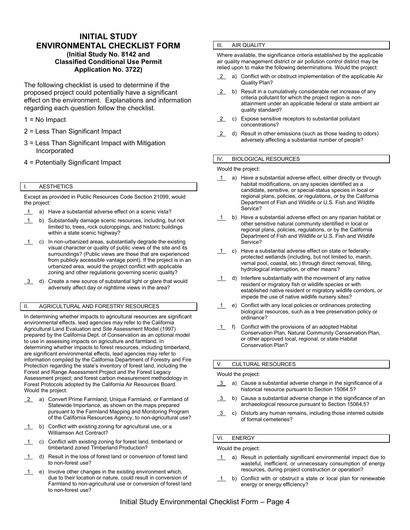## **INITIAL STUDY ENVIRONMENTAL CHECKLIST FORM (Initial Study No. 8142 and Classified Conditional Use Permit Application No. 3722)**

The following checklist is used to determine if the proposed project could potentially have a significant effect on the environment. Explanations and information regarding each question follow the checklist.

- 1 = No Impact
- 2 = Less Than Significant Impact
- 3 = Less Than Significant Impact with Mitigation Incorporated
- 4 = Potentially Significant Impact

## I. AESTHETICS

Except as provided in Public Resources Code Section 21099, would the project:

- 1 a) Have a substantial adverse effect on a scenic vista?
- 1 b) Substantially damage scenic resources, including, but not limited to, trees, rock outcroppings, and historic buildings within a state scenic highway?
- $\overline{1}$  c) In non-urbanized areas, substantially degrade the existing visual character or quality of public views of the site and its surroundings? (Public views are those that are experienced from publicly accessible vantage point). If the project is in an urbanized area, would the project conflict with applicable zoning and other regulations governing scenic quality?
- 3 d) Create a new source of substantial light or glare that would adversely affect day or nighttime views in the area?

## II. AGRICULTURAL AND FORESTRY RESOURCES

In determining whether impacts to agricultural resources are significant environmental effects, lead agencies may refer to the California Agricultural Land Evaluation and Site Assessment Model (1997) prepared by the California Dept. of Conservation as an optional model to use in assessing impacts on agriculture and farmland. In determining whether impacts to forest resources, including timberland, are significant environmental effects, lead agencies may refer to information compiled by the California Department of Forestry and Fire Protection regarding the state's inventory of forest land, including the Forest and Range Assessment Project and the Forest Legacy Assessment project; and forest carbon measurement methodology in Forest Protocols adopted by the California Air Resources Board. Would the project:

- 2 a) Convert Prime Farmland, Unique Farmland, or Farmland of Statewide Importance, as shown on the maps prepared pursuant to the Farmland Mapping and Monitoring Program of the California Resources Agency, to non-agricultural use?
- 1 b) Conflict with existing zoning for agricultural use, or a Williamson Act Contract?
- 1 c) Conflict with existing zoning for forest land, timberland or timberland zoned Timberland Production?
- 1 d) Result in the loss of forest land or conversion of forest land to non-forest use?
- $\overline{1}$  e) Involve other changes in the existing environment which, due to their location or nature, could result in conversion of Farmland to non-agricultural use or conversion of forest land to non-forest use?

## **III.** AIR QUALITY

Where available, the significance criteria established by the applicable air quality management district or air pollution control district may be relied upon to make the following determinations. Would the project:

- 2 a) Conflict with or obstruct implementation of the applicable Air Quality Plan?
- 2 b) Result in a cumulatively considerable net increase of any criteria pollutant for which the project region is nonattainment under an applicable federal or state ambient air quality standard?
- 2 c) Expose sensitive receptors to substantial pollutant concentrations?
- 2 d) Result in other emissions (such as those leading to odors) adversely affecting a substantial number of people?

## IV. BIOLOGICAL RESOURCES

Would the project:

- 1 a) Have a substantial adverse effect, either directly or through habitat modifications, on any species identified as a candidate, sensitive, or special-status species in local or regional plans, policies, or regulations, or by the California Department of Fish and Wildlife or U.S. Fish and Wildlife Service?
- 1 b) Have a substantial adverse effect on any riparian habitat or other sensitive natural community identified in local or regional plans, policies, regulations, or by the California Department of Fish and Wildlife or U.S. Fish and Wildlife Service?
- 1 c) Have a substantial adverse effect on state or federallyprotected wetlands (including, but not limited to, marsh, vernal pool, coastal, etc.) through direct removal, filling, hydrological interruption, or other means?
- 1 d) Interfere substantially with the movement of any native resident or migratory fish or wildlife species or with established native resident or migratory wildlife corridors, or impede the use of native wildlife nursery sites?
- 1 e) Conflict with any local policies or ordinances protecting biological resources, such as a tree preservation policy or ordinance?
- 1 f) Conflict with the provisions of an adopted Habitat Conservation Plan, Natural Community Conservation Plan, or other approved local, regional, or state Habitat Conservation Plan?

#### V. CULTURAL RESOURCES

#### Would the project:

- 3 a) Cause a substantial adverse change in the significance of a historical resource pursuant to Section 15064.5?
- 3 b) Cause a substantial adverse change in the significance of an archaeological resource pursuant to Section 15064.5?
- 3 c) Disturb any human remains, including those interred outside of formal cemeteries?

## VI. ENERGY

Would the project:

- 1 a) Result in potentially significant environmental impact due to wasteful, inefficient, or unnecessary consumption of energy resources, during project construction or operation?
- 1 b) Conflict with or obstruct a state or local plan for renewable energy or energy efficiency?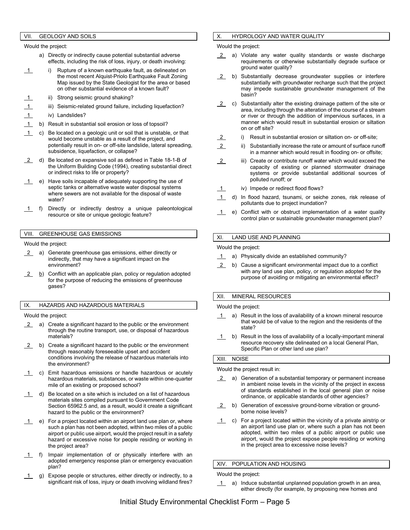#### VII. GEOLOGY AND SOILS

Would the project:

- a) Directly or indirectly cause potential substantial adverse effects, including the risk of loss, injury, or death involving:
- 1 i) Rupture of a known earthquake fault, as delineated on the most recent Alquist-Priolo Earthquake Fault Zoning Map issued by the State Geologist for the area or based on other substantial evidence of a known fault?
	- ii) Strong seismic ground shaking?
- iii) Seismic-related ground failure, including liquefaction?
- 1 iv) Landslides?
- 1 b) Result in substantial soil erosion or loss of topsoil?
- 1 c) Be located on a geologic unit or soil that is unstable, or that would become unstable as a result of the project, and potentially result in on- or off-site landslide, lateral spreading, subsidence, liquefaction, or collapse?
- 2 d) Be located on expansive soil as defined in Table 18-1-B of the Uniform Building Code (1994), creating substantial direct or indirect risks to life or property?
- 1 e) Have soils incapable of adequately supporting the use of septic tanks or alternative waste water disposal systems where sewers are not available for the disposal of waste water?
- 1 f) Directly or indirectly destroy a unique paleontological resource or site or unique geologic feature?

#### VIII. GREENHOUSE GAS EMISSIONS

Would the project:

- 2 a) Generate greenhouse gas emissions, either directly or indirectly, that may have a significant impact on the environment?
- $\frac{2}{2}$  b) Conflict with an applicable plan, policy or regulation adopted for the purpose of reducing the emissions of greenhouse gases?

#### IX. HAZARDS AND HAZARDOUS MATERIALS

Would the project:

- 2 a) Create a significant hazard to the public or the environment through the routine transport, use, or disposal of hazardous materials?
- 2 b) Create a significant hazard to the public or the environment through reasonably foreseeable upset and accident conditions involving the release of hazardous materials into the environment?
- c) Emit hazardous emissions or handle hazardous or acutely hazardous materials, substances, or waste within one-quarter mile of an existing or proposed school?
- $1$  d) Be located on a site which is included on a list of hazardous materials sites compiled pursuant to Government Code Section 65962.5 and, as a result, would it create a significant hazard to the public or the environment?
- 1 e) For a project located within an airport land use plan or, where such a plan has not been adopted, within two miles of a public airport or public use airport, would the project result in a safety hazard or excessive noise for people residing or working in the project area?
- 1 f) Impair implementation of or physically interfere with an adopted emergency response plan or emergency evacuation plan?
- 1 g) Expose people or structures, either directly or indirectly, to a significant risk of loss, injury or death involving wildland fires?

### X. HYDROLOGY AND WATER QUALITY

Would the project:

- 2 a) Violate any water quality standards or waste discharge requirements or otherwise substantially degrade surface or ground water quality?
- 2 b) Substantially decrease groundwater supplies or interfere substantially with groundwater recharge such that the project may impede sustainable groundwater management of the basin?
- 2 c) Substantially alter the existing drainage pattern of the site or area, including through the alteration of the course of a stream or river or through the addition of impervious surfaces, in a manner which would result in substantial erosion or siltation on or off site?
- 2 i) Result in substantial erosion or siltation on- or off-site;
- 2 ii) Substantially increase the rate or amount of surface runoff in a manner which would result in flooding on- or offsite;
- 2 iii) Create or contribute runoff water which would exceed the capacity of existing or planned stormwater drainage systems or provide substantial additional sources of polluted runoff; or
- 1 iv) Impede or redirect flood flows?
- 1 d) In flood hazard, tsunami, or seiche zones, risk release of pollutants due to project inundation?
- 1 e) Conflict with or obstruct implementation of a water quality control plan or sustainable groundwater management plan?

#### XI. LAND USE AND PLANNING

Would the project:

- 1 a) Physically divide an established community?
- 2 b) Cause a significant environmental impact due to a conflict with any land use plan, policy, or regulation adopted for the purpose of avoiding or mitigating an environmental effect?

#### XII. MINERAL RESOURCES

Would the project:

- $\overline{1}$  a) Result in the loss of availability of a known mineral resource that would be of value to the region and the residents of the state?
- $1$  b) Result in the loss of availability of a locally-important mineral resource recovery site delineated on a local General Plan, Specific Plan or other land use plan?

#### XIII. NOISE

Would the project result in:

- 2 a) Generation of a substantial temporary or permanent increase in ambient noise levels in the vicinity of the project in excess of standards established in the local general plan or noise ordinance, or applicable standards of other agencies?
- 2 b) Generation of excessive ground-borne vibration or groundborne noise levels?
- $1$  c) For a project located within the vicinity of a private airstrip or an airport land use plan or, where such a plan has not been adopted, within two miles of a public airport or public use airport, would the project expose people residing or working in the project area to excessive noise levels?

XIV. POPULATION AND HOUSING

Would the project:

1 a) Induce substantial unplanned population growth in an area, either directly (for example, by proposing new homes and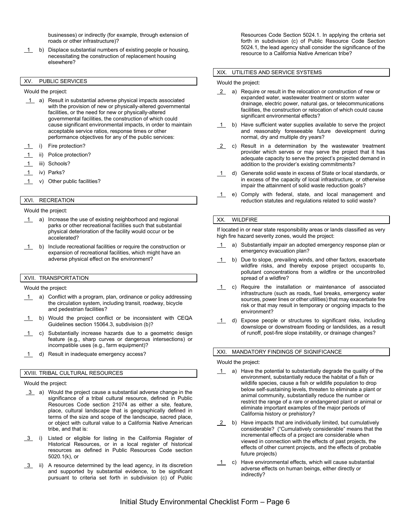businesses) or indirectly (for example, through extension of roads or other infrastructure)?

1 b) Displace substantial numbers of existing people or housing, necessitating the construction of replacement housing elsewhere?

### XV. PUBLIC SERVICES

Would the project:

- 1 a) Result in substantial adverse physical impacts associated with the provision of new or physically-altered governmental facilities, or the need for new or physically-altered governmental facilities, the construction of which could cause significant environmental impacts, in order to maintain acceptable service ratios, response times or other performance objectives for any of the public services:
- i) Fire protection?
- ii) Police protection?
- 1 iii) Schools?
- 1 iv) Parks?
- 1 v) Other public facilities?

# XVI. RECREATION

Would the project:

- 1 a) Increase the use of existing neighborhood and regional parks or other recreational facilities such that substantial physical deterioration of the facility would occur or be accelerated?
- 1 b) Include recreational facilities or require the construction or expansion of recreational facilities, which might have an adverse physical effect on the environment?

## XVII. TRANSPORTATION

Would the project:

- 1 a) Conflict with a program, plan, ordinance or policy addressing the circulation system, including transit, roadway, bicycle and pedestrian facilities?
- 1 b) Would the project conflict or be inconsistent with CEQA Guidelines section 15064.3, subdivision (b)?
- 1 c) Substantially increase hazards due to a geometric design feature (e.g., sharp curves or dangerous intersections) or incompatible uses (e.g., farm equipment)?
- 1 d) Result in inadequate emergency access?

#### XVIII. TRIBAL CULTURAL RESOURCES

Would the project:

- 3 a) Would the project cause a substantial adverse change in the significance of a tribal cultural resource, defined in Public Resources Code section 21074 as either a site, feature, place, cultural landscape that is geographically defined in terms of the size and scope of the landscape, sacred place, or object with cultural value to a California Native American tribe, and that is:
- 3 i) Listed or eligible for listing in the California Register of Historical Resources, or in a local register of historical resources as defined in Public Resources Code section 5020.1(k), or
- 3 ii) A resource determined by the lead agency, in its discretion and supported by substantial evidence, to be significant pursuant to criteria set forth in subdivision (c) of Public

Resources Code Section 5024.1. In applying the criteria set forth in subdivision (c) of Public Resource Code Section 5024.1, the lead agency shall consider the significance of the resource to a California Native American tribe?

#### XIX. UTILITIES AND SERVICE SYSTEMS

Would the project:

- 2 a) Require or result in the relocation or construction of new or expanded water, wastewater treatment or storm water drainage, electric power, natural gas, or telecommunications facilities, the construction or relocation of which could cause significant environmental effects?
- $\overline{1}$  b) Have sufficient water supplies available to serve the project and reasonably foreseeable future development during normal, dry and multiple dry years?
- 2 c) Result in a determination by the wastewater treatment provider which serves or may serve the project that it has adequate capacity to serve the project's projected demand in addition to the provider's existing commitments?
- 1 d) Generate solid waste in excess of State or local standards, or in excess of the capacity of local infrastructure, or otherwise impair the attainment of solid waste reduction goals?
- 1 e) Comply with federal, state, and local management and reduction statutes and regulations related to solid waste?

#### XX. WILDFIRE

If located in or near state responsibility areas or lands classified as very high fire hazard severity zones, would the project:

- a) Substantially impair an adopted emergency response plan or emergency evacuation plan?
- 1 b) Due to slope, prevailing winds, and other factors, exacerbate wildfire risks, and thereby expose project occupants to, pollutant concentrations from a wildfire or the uncontrolled spread of a wildfire?
- 1 c) Require the installation or maintenance of associated infrastructure (such as roads, fuel breaks, emergency water sources, power lines or other utilities) that may exacerbate fire risk or that may result in temporary or ongoing impacts to the environment?
- 1 d) Expose people or structures to significant risks, including downslope or downstream flooding or landslides, as a result of runoff, post-fire slope instability, or drainage changes?

#### XXI. MANDATORY FINDINGS OF SIGNIFICANCE

Would the project:

- 1 a) Have the potential to substantially degrade the quality of the environment, substantially reduce the habitat of a fish or wildlife species, cause a fish or wildlife population to drop below self-sustaining levels, threaten to eliminate a plant or animal community, substantially reduce the number or restrict the range of a rare or endangered plant or animal or eliminate important examples of the major periods of California history or prehistory?
- 2 b) Have impacts that are individually limited, but cumulatively considerable? ("Cumulatively considerable" means that the incremental effects of a project are considerable when viewed in connection with the effects of past projects, the effects of other current projects, and the effects of probable future projects)
- 1 c) Have environmental effects, which will cause substantial adverse effects on human beings, either directly or indirectly?